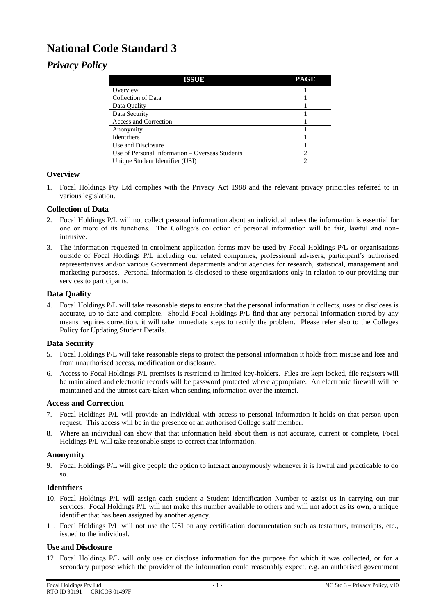# **National Code Standard 3**

# *Privacy Policy*

| <b>ISSUE</b>                                    | <b>PAGE</b> |
|-------------------------------------------------|-------------|
| Overview                                        |             |
| Collection of Data                              |             |
| Data Quality                                    |             |
| Data Security                                   |             |
| Access and Correction                           |             |
| Anonymity                                       |             |
| Identifiers                                     |             |
| Use and Disclosure                              |             |
| Use of Personal Information – Overseas Students |             |
| Unique Student Identifier (USI)                 |             |

## **Overview**

1. Focal Holdings Pty Ltd complies with the Privacy Act 1988 and the relevant privacy principles referred to in various legislation.

### **Collection of Data**

- 2. Focal Holdings P/L will not collect personal information about an individual unless the information is essential for one or more of its functions. The College's collection of personal information will be fair, lawful and nonintrusive.
- 3. The information requested in enrolment application forms may be used by Focal Holdings P/L or organisations outside of Focal Holdings P/L including our related companies, professional advisers, participant's authorised representatives and/or various Government departments and/or agencies for research, statistical, management and marketing purposes. Personal information is disclosed to these organisations only in relation to our providing our services to participants.

#### **Data Quality**

4. Focal Holdings P/L will take reasonable steps to ensure that the personal information it collects, uses or discloses is accurate, up-to-date and complete. Should Focal Holdings P/L find that any personal information stored by any means requires correction, it will take immediate steps to rectify the problem. Please refer also to the Colleges Policy for Updating Student Details.

#### **Data Security**

- 5. Focal Holdings P/L will take reasonable steps to protect the personal information it holds from misuse and loss and from unauthorised access, modification or disclosure.
- 6. Access to Focal Holdings P/L premises is restricted to limited key-holders. Files are kept locked, file registers will be maintained and electronic records will be password protected where appropriate. An electronic firewall will be maintained and the utmost care taken when sending information over the internet.

#### **Access and Correction**

- 7. Focal Holdings P/L will provide an individual with access to personal information it holds on that person upon request. This access will be in the presence of an authorised College staff member.
- 8. Where an individual can show that that information held about them is not accurate, current or complete, Focal Holdings P/L will take reasonable steps to correct that information.

#### **Anonymity**

9. Focal Holdings P/L will give people the option to interact anonymously whenever it is lawful and practicable to do so.

#### **Identifiers**

- 10. Focal Holdings P/L will assign each student a Student Identification Number to assist us in carrying out our services. Focal Holdings P/L will not make this number available to others and will not adopt as its own, a unique identifier that has been assigned by another agency.
- 11. Focal Holdings P/L will not use the USI on any certification documentation such as testamurs, transcripts, etc., issued to the individual.

#### **Use and Disclosure**

12. Focal Holdings P/L will only use or disclose information for the purpose for which it was collected, or for a secondary purpose which the provider of the information could reasonably expect, e.g. an authorised government